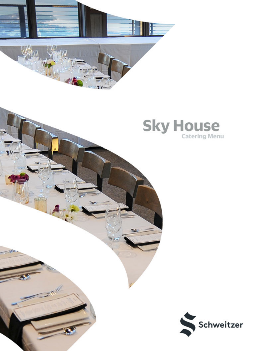





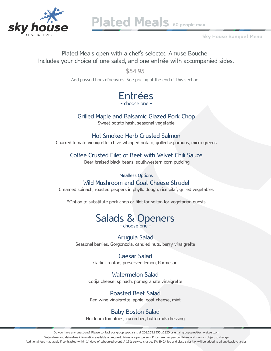

Plated Meals 60 people max.

Sky House Banquet Menu

Plated Meals open with a chef's selected Amuse Bouche. Includes your choice of one salad, and one entrée with accompanied sides.

> \$54.95 Add passed hors d'oeuvres. See pricing at the end of this section.

> > Entrées - choose one -

Grilled Maple and Balsamic Glazed Pork Chop

Sweet potato hash, seasonal vegetable

Hot Smoked Herb Crusted Salmon Charred tomato vinaigrette, chive whipped potato, grilled asparagus, micro greens

Coffee Crusted Filet of Beef with Velvet Chili Sauce

Beer braised black beans, southwestern corn pudding

Meatless Options

Wild Mushroom and Goat Cheese Strudel

Creamed spinach, roasted peppers in phyllo dough, rice pilaf, grilled vegetables

\*Option to substitute pork chop or filet for seitan for vegetarian guests

# Salads & Openers

- choose one -

#### Arugula Salad

Seasonal berries, Gorgonzola, candied nuts, berry vinaigrette

#### Caesar Salad

Garlic crouton, preserved lemon, Parmesan

Watermelon Salad Cotija cheese, spinach, pomegranate vinaigrette

Roasted Beet Salad Red wine vinaigrette, apple, goat cheese, mint

Baby Boston Salad Heirloom tomatoes, cucumber, buttermilk dressing

Do you have any questions? Please contact our group specialists at 208.263.9555 x2820 or email groupsales@schweitzer.com Gluten-free and dairy-free information available on request. Prices are per person. Prices are per person. Prices and menus subject to change. Additional fees may apply if contracted within 14 days of scheduled event. A 19% service charge, 1% SMCA fee and state sales tax will be added to all applicable charges.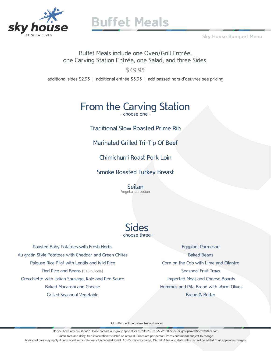

Sky House Banquet Menu

Buffet Meals include one Oven/Grill Entrée, one Carving Station Entrée, one Salad, and three Sides.

\$49.95

additional sides \$2.95 | additional entrée \$5.95 | add passed hors d'oeuvres see pricing

# From the Carving Station

Traditional Slow Roasted Prime Rib

Marinated Grilled Tri-Tip Of Beef

Chimichurri Roast Pork Loin

Smoke Roasted Turkey Breast

Seitan<br>Vegetarian option



Roasted Baby Potatoes with Fresh Herbs Au gratin Style Potatoes with Cheddar and Green Chilies Palouse Rice Pilaf with Lentils and Wild Rice Red Rice and Beans (Cajun Style) Orecchiette with Italian Sausage, Kale and Red Sauce Baked Macaroni and Cheese Grilled Seasonal Vegetable

Eggplant Parmesan Baked Beans Corn on the Cob with Lime and Cilantro Seasonal Fruit Trays Imported Meat and Cheese Boards Hummus and Pita Bread with Warm Olives Bread & Butter

All buffets include coffee, tea and water.

Do you have any questions? Please contact our group specialists at 208.263.9555 x2820 or email groupsales@schweitzer.com Gluten-free and dairy-free information available on request. Prices are per person. Prices and menus subject to change. Additional fees may apply if contracted within 14 days of scheduled event. A 19% service charge, 1% SMCA fee and state sales tax will be added to all applicable charges.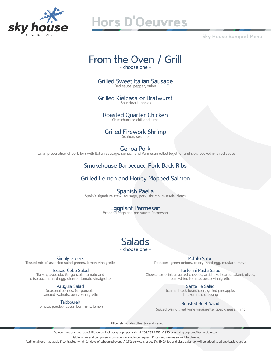

# Hors D'Oeuvres

Sky House Banquet Menu

# From the Oven / Grill

- choose one -

Grilled Sweet Italian Sausage<br>Red sauce, pepper, onion

Grilled Kielbasa or Bratwurst Sauerkraut, apples

Roasted Quarter Chicken Chimichurri or chili and Lime

Grilled Firework Shrimp<br>Scallion, sesame

Genoa Pork Italian preparation of pork loin with Italian sausage, spinach and Parmesan rolled together and slow cooked in a red sauce

#### Smokehouse Barbecued Pork Back Ribs

#### Grilled Lemon and Honey Mopped Salmon

Spanish Paella<br>Spain's signature stew, sausage, pork, shrimp, mussels, clams

Eggplant Parmesan<br>Breaded eggplant, red sauce, Parmesan

#### Salads - choose one -

Potato Salad Potatoes, green onions, celery, hard egg, mustard, mayo

Tortellini Pasta Salad Cheese tortellini, assorted cheeses, artichoke hearts, salami, olives, semi-dried tomato, pesto vinaigrette

> Sante Fe Salad Jicama, black bean, corn, grilled pineapple, lime-cilantro dressing

#### Roasted Beet Salad

Spiced walnut, red wine vinaigrette, goat cheese, mint

All buffets include coffee, tea and water.

Do you have any questions? Please contact our group specialists at 208.263.9555 x2820 or email groupsales@schweitzer.com

Gluten-free and dairy-free information available on request. Prices and menus subject to change.

Additional fees may apply if contracted within 14 days of scheduled event. A 19% service charge, 1% SMCA fee and state sales tax will be added to all applicable charges.

Simply Greens Tossed mix of assorted salad greens, lemon vinaigrette

#### Tossed Cobb Salad

Turkey, avocado, Gorgonzola, tomato and crisp bacon, hard egg, charred tomato vinaigrette

> Arugula Salad Seasonal berries, Gorgonzola, candied walnuts, berry vinaigrette

> > **Tabbouleh**

Tomato, parsley, cucumber, mint, lemon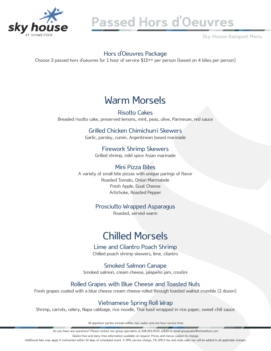

# Passed Hors d'Oeuvres

Sky House Banquet Menu

#### Hors d'Oeuvres Package

Choose 3 passed hors d'oeuvres for 1 hour of service \$15++ per person (based on 4 bites per person)

### Warm Morsels

Risotto Cakes Breaded risotto cake, preserved lemons, mint, peas, olive, Parmesan, red sauce

#### Grilled Chicken Chimichurri Skewers

Garlic, parsley, cumin, Argentinean based marinade

Firework Shrimp Skewers Grilled shrimp, mild spice Asian marinade

#### Mini Pizza Bites

A variety of small bite pizzas with unique parings of flavor Roasted Tomato, Onion Marmalade Fresh Apple, Goat Cheese Artichoke, Roasted Pepper

#### Prosciutto Wrapped Asparagus

Roasted, served warm

## Chilled Morsels

#### Lime and Cilantro Poach Shrimp

Chilled poach shrimp skewers, lime, cilantro

Smoked Salmon Canape Smoked salmon, cream cheese, jalapeño jam, crostini

#### Rolled Grapes with Blue Cheese and Toasted Nuts

Fresh grapes coated with a blue cheese cream cheese rolled through toasted walnut crumble (2 dozen)

#### Vietnamese Spring Roll Wrap

Shrimp, carrots, celery, Napa cabbage, rice noodle, Thai basil wrapped in rice paper, sweet chili sauce

All appetizer parties include coffee, tea, water and one hour service time.

Do you have any questions? Please contact our group specialists at 208.263.9555 x2820 or email groupsales@schweitzer.com

Gluten-free and dairy-free information available on request. Prices and menus subject to change.

Additional fees may apply if contracted within 14 days of scheduled event. A 19% service charge, 1% SMCA fee and state sales tax will be added to all applicable charges.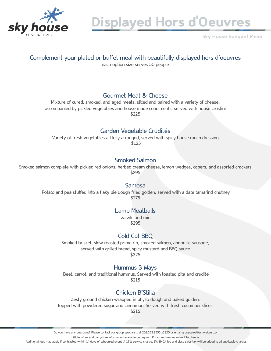

Displayed Hors d'Oeuvres

Sky House Banquet Menu

### Complement your plated or buffet meal with beautifully displayed hors d'oeuvres

each option size serves 50 people

#### Gourmet Meat & Cheese

Mixture of cured, smoked, and aged meats, sliced and paired with a variety of cheese, accompanied by pickled vegetables and house made condiments, served with house crostini \$225

#### Garden Vegetable Crudités

Variety of fresh vegetables artfully arranged, served with spicy house ranch dressing \$125

#### Smoked Salmon

Smoked salmon complete with pickled red onions, herbed cream cheese, lemon wedges, capers, and assorted crackers \$295

#### Samosa

Potato and pea stuffed into a flaky pie dough fried golden, served with a date tamarind chutney \$275

#### Lamb Meatballs

Tzatziki and mint \$295

#### Cold Cut BBQ

Smoked brisket, slow roasted prime rib, smoked salmon, andouille sausage, served with grilled bread, spicy mustard and BBQ sauce \$325

#### Hummus 3 Ways

 Beet, carrot, and traditional hummus. Served with toasted pita and crudité \$215

#### Chicken B'Stilla

Zesty ground chicken wrapped in phyllo dough and baked golden. Topped with powdered sugar and cinnamon. Served with fresh cucumber slices.

\$215

Do you have any questions? Please contact our group specialists at 208.263.9555 x2820 or email groupsales@schweitzer.com

Gluten-free and dairy-free information available on request. Prices and menus subject to change.

Additional fees may apply if contracted within 14 days of scheduled event. A 19% service charge, 1% SMCA fee and state sales tax will be added to all applicable charges.